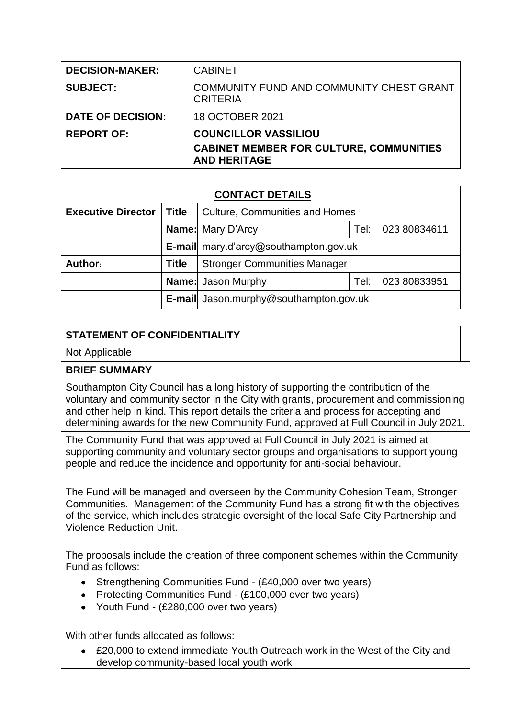| <b>DECISION-MAKER:</b>   | <b>CABINET</b>                                                                                       |
|--------------------------|------------------------------------------------------------------------------------------------------|
| <b>SUBJECT:</b>          | COMMUNITY FUND AND COMMUNITY CHEST GRANT<br><b>CRITERIA</b>                                          |
| <b>DATE OF DECISION:</b> | 18 OCTOBER 2021                                                                                      |
| <b>REPORT OF:</b>        | <b>COUNCILLOR VASSILIOU</b><br><b>CABINET MEMBER FOR CULTURE, COMMUNITIES</b><br><b>AND HERITAGE</b> |

| <b>CONTACT DETAILS</b>    |              |                                                  |      |              |  |
|---------------------------|--------------|--------------------------------------------------|------|--------------|--|
| <b>Executive Director</b> | <b>Title</b> | <b>Culture, Communities and Homes</b>            |      |              |  |
|                           |              | <b>Name:</b> Mary D'Arcy<br>023 80834611<br>Tel: |      |              |  |
|                           |              | E-mail mary.d'arcy@southampton.gov.uk            |      |              |  |
| Author:                   | <b>Title</b> | <b>Stronger Communities Manager</b>              |      |              |  |
|                           |              | <b>Name:</b> Jason Murphy                        | Tel: | 023 80833951 |  |
|                           |              | E-mail Jason.murphy@southampton.gov.uk           |      |              |  |

## **STATEMENT OF CONFIDENTIALITY**

Not Applicable

## **BRIEF SUMMARY**

Southampton City Council has a long history of supporting the contribution of the voluntary and community sector in the City with grants, procurement and commissioning and other help in kind. This report details the criteria and process for accepting and determining awards for the new Community Fund, approved at Full Council in July 2021.

The Community Fund that was approved at Full Council in July 2021 is aimed at supporting community and voluntary sector groups and organisations to support young people and reduce the incidence and opportunity for anti-social behaviour.

The Fund will be managed and overseen by the Community Cohesion Team, Stronger Communities. Management of the Community Fund has a strong fit with the objectives of the service, which includes strategic oversight of the local Safe City Partnership and Violence Reduction Unit.

The proposals include the creation of three component schemes within the Community Fund as follows:

- Strengthening Communities Fund (£40,000 over two years)
- Protecting Communities Fund (£100,000 over two vears)
- Youth Fund (£280,000 over two years)

With other funds allocated as follows:

 £20,000 to extend immediate Youth Outreach work in the West of the City and develop community-based local youth work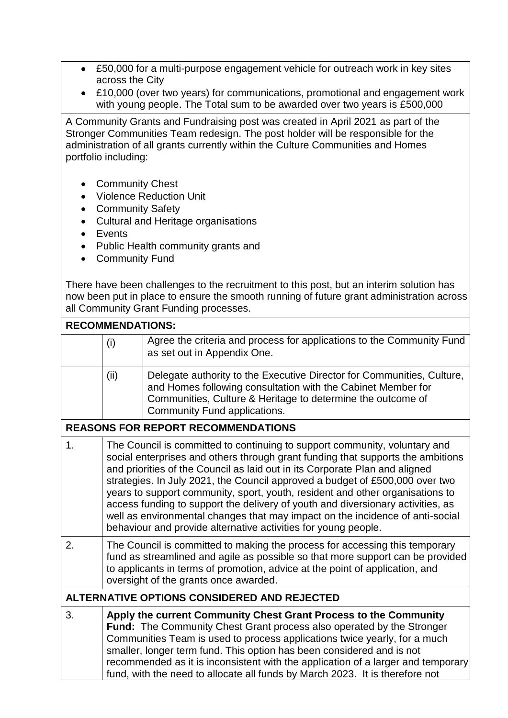- £50,000 for a multi-purpose engagement vehicle for outreach work in key sites across the City
- £10,000 (over two years) for communications, promotional and engagement work with young people. The Total sum to be awarded over two years is £500,000

A Community Grants and Fundraising post was created in April 2021 as part of the Stronger Communities Team redesign. The post holder will be responsible for the administration of all grants currently within the Culture Communities and Homes portfolio including:

- Community Chest
- Violence Reduction Unit
- Community Safety
- Cultural and Heritage organisations
- Events
- Public Health community grants and
- Community Fund

There have been challenges to the recruitment to this post, but an interim solution has now been put in place to ensure the smooth running of future grant administration across all Community Grant Funding processes.

|    | <b>RECOMMENDATIONS:</b>                                                                                                                                                                                                                                                                                                                                                                                                                                                                                                                                                                                                                             |                                                                                                                                                                                                                                                                                                                                                                                                                                                                     |  |  |
|----|-----------------------------------------------------------------------------------------------------------------------------------------------------------------------------------------------------------------------------------------------------------------------------------------------------------------------------------------------------------------------------------------------------------------------------------------------------------------------------------------------------------------------------------------------------------------------------------------------------------------------------------------------------|---------------------------------------------------------------------------------------------------------------------------------------------------------------------------------------------------------------------------------------------------------------------------------------------------------------------------------------------------------------------------------------------------------------------------------------------------------------------|--|--|
|    | (i)                                                                                                                                                                                                                                                                                                                                                                                                                                                                                                                                                                                                                                                 | Agree the criteria and process for applications to the Community Fund<br>as set out in Appendix One.                                                                                                                                                                                                                                                                                                                                                                |  |  |
|    | (ii)                                                                                                                                                                                                                                                                                                                                                                                                                                                                                                                                                                                                                                                | Delegate authority to the Executive Director for Communities, Culture,<br>and Homes following consultation with the Cabinet Member for<br>Communities, Culture & Heritage to determine the outcome of<br>Community Fund applications.                                                                                                                                                                                                                               |  |  |
|    |                                                                                                                                                                                                                                                                                                                                                                                                                                                                                                                                                                                                                                                     | <b>REASONS FOR REPORT RECOMMENDATIONS</b>                                                                                                                                                                                                                                                                                                                                                                                                                           |  |  |
| 1. | The Council is committed to continuing to support community, voluntary and<br>social enterprises and others through grant funding that supports the ambitions<br>and priorities of the Council as laid out in its Corporate Plan and aligned<br>strategies. In July 2021, the Council approved a budget of £500,000 over two<br>years to support community, sport, youth, resident and other organisations to<br>access funding to support the delivery of youth and diversionary activities, as<br>well as environmental changes that may impact on the incidence of anti-social<br>behaviour and provide alternative activities for young people. |                                                                                                                                                                                                                                                                                                                                                                                                                                                                     |  |  |
| 2. | The Council is committed to making the process for accessing this temporary<br>fund as streamlined and agile as possible so that more support can be provided<br>to applicants in terms of promotion, advice at the point of application, and<br>oversight of the grants once awarded.                                                                                                                                                                                                                                                                                                                                                              |                                                                                                                                                                                                                                                                                                                                                                                                                                                                     |  |  |
|    |                                                                                                                                                                                                                                                                                                                                                                                                                                                                                                                                                                                                                                                     | ALTERNATIVE OPTIONS CONSIDERED AND REJECTED                                                                                                                                                                                                                                                                                                                                                                                                                         |  |  |
| 3. |                                                                                                                                                                                                                                                                                                                                                                                                                                                                                                                                                                                                                                                     | Apply the current Community Chest Grant Process to the Community<br>Fund: The Community Chest Grant process also operated by the Stronger<br>Communities Team is used to process applications twice yearly, for a much<br>smaller, longer term fund. This option has been considered and is not<br>recommended as it is inconsistent with the application of a larger and temporary<br>fund, with the need to allocate all funds by March 2023. It is therefore not |  |  |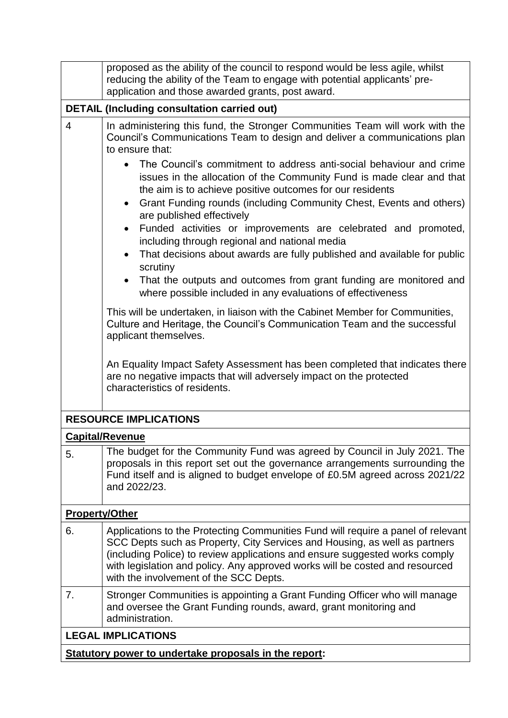|                           | proposed as the ability of the council to respond would be less agile, whilst<br>reducing the ability of the Team to engage with potential applicants' pre-<br>application and those awarded grants, post award.                                                                                                                                                                                          |  |  |  |
|---------------------------|-----------------------------------------------------------------------------------------------------------------------------------------------------------------------------------------------------------------------------------------------------------------------------------------------------------------------------------------------------------------------------------------------------------|--|--|--|
|                           | <b>DETAIL (Including consultation carried out)</b>                                                                                                                                                                                                                                                                                                                                                        |  |  |  |
| $\overline{4}$            | In administering this fund, the Stronger Communities Team will work with the<br>Council's Communications Team to design and deliver a communications plan<br>to ensure that:                                                                                                                                                                                                                              |  |  |  |
|                           | The Council's commitment to address anti-social behaviour and crime<br>issues in the allocation of the Community Fund is made clear and that<br>the aim is to achieve positive outcomes for our residents<br>Grant Funding rounds (including Community Chest, Events and others)<br>$\bullet$<br>are published effectively<br>Funded activities or improvements are celebrated and promoted,<br>$\bullet$ |  |  |  |
|                           | including through regional and national media<br>That decisions about awards are fully published and available for public<br>scrutiny                                                                                                                                                                                                                                                                     |  |  |  |
|                           | That the outputs and outcomes from grant funding are monitored and<br>where possible included in any evaluations of effectiveness                                                                                                                                                                                                                                                                         |  |  |  |
|                           | This will be undertaken, in liaison with the Cabinet Member for Communities,<br>Culture and Heritage, the Council's Communication Team and the successful<br>applicant themselves.                                                                                                                                                                                                                        |  |  |  |
|                           | An Equality Impact Safety Assessment has been completed that indicates there<br>are no negative impacts that will adversely impact on the protected<br>characteristics of residents.                                                                                                                                                                                                                      |  |  |  |
|                           | <b>RESOURCE IMPLICATIONS</b>                                                                                                                                                                                                                                                                                                                                                                              |  |  |  |
|                           | <b>Capital/Revenue</b>                                                                                                                                                                                                                                                                                                                                                                                    |  |  |  |
| 5.                        | The budget for the Community Fund was agreed by Council in July 2021. The<br>proposals in this report set out the governance arrangements surrounding the<br>Fund itself and is aligned to budget envelope of £0.5M agreed across 2021/22<br>and 2022/23.                                                                                                                                                 |  |  |  |
| <b>Property/Other</b>     |                                                                                                                                                                                                                                                                                                                                                                                                           |  |  |  |
| 6.                        | Applications to the Protecting Communities Fund will require a panel of relevant<br>SCC Depts such as Property, City Services and Housing, as well as partners<br>(including Police) to review applications and ensure suggested works comply<br>with legislation and policy. Any approved works will be costed and resourced<br>with the involvement of the SCC Depts.                                   |  |  |  |
| 7.                        | Stronger Communities is appointing a Grant Funding Officer who will manage<br>and oversee the Grant Funding rounds, award, grant monitoring and<br>administration.                                                                                                                                                                                                                                        |  |  |  |
| <b>LEGAL IMPLICATIONS</b> |                                                                                                                                                                                                                                                                                                                                                                                                           |  |  |  |
|                           | Statutory power to undertake proposals in the report:                                                                                                                                                                                                                                                                                                                                                     |  |  |  |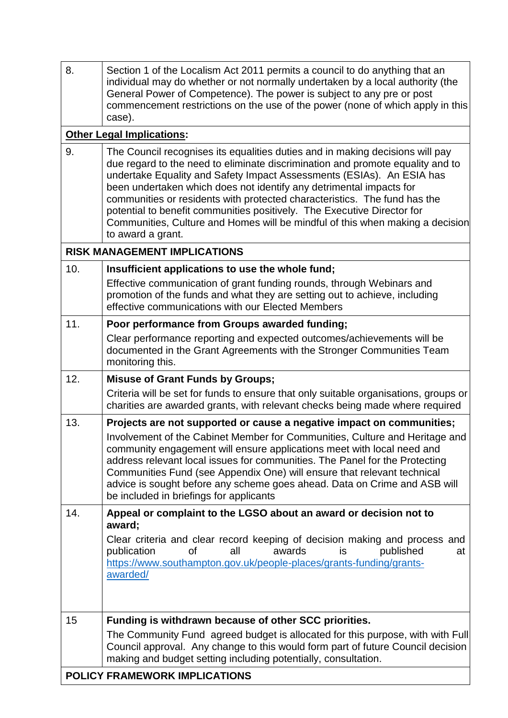| 8.  | Section 1 of the Localism Act 2011 permits a council to do anything that an<br>individual may do whether or not normally undertaken by a local authority (the<br>General Power of Competence). The power is subject to any pre or post<br>commencement restrictions on the use of the power (none of which apply in this<br>case).                                                                                                                                                                                                                                            |
|-----|-------------------------------------------------------------------------------------------------------------------------------------------------------------------------------------------------------------------------------------------------------------------------------------------------------------------------------------------------------------------------------------------------------------------------------------------------------------------------------------------------------------------------------------------------------------------------------|
|     | <b>Other Legal Implications:</b>                                                                                                                                                                                                                                                                                                                                                                                                                                                                                                                                              |
| 9.  | The Council recognises its equalities duties and in making decisions will pay<br>due regard to the need to eliminate discrimination and promote equality and to<br>undertake Equality and Safety Impact Assessments (ESIAs). An ESIA has<br>been undertaken which does not identify any detrimental impacts for<br>communities or residents with protected characteristics. The fund has the<br>potential to benefit communities positively. The Executive Director for<br>Communities, Culture and Homes will be mindful of this when making a decision<br>to award a grant. |
|     | <b>RISK MANAGEMENT IMPLICATIONS</b>                                                                                                                                                                                                                                                                                                                                                                                                                                                                                                                                           |
| 10. | Insufficient applications to use the whole fund;                                                                                                                                                                                                                                                                                                                                                                                                                                                                                                                              |
|     | Effective communication of grant funding rounds, through Webinars and<br>promotion of the funds and what they are setting out to achieve, including<br>effective communications with our Elected Members                                                                                                                                                                                                                                                                                                                                                                      |
| 11. | Poor performance from Groups awarded funding;                                                                                                                                                                                                                                                                                                                                                                                                                                                                                                                                 |
|     | Clear performance reporting and expected outcomes/achievements will be<br>documented in the Grant Agreements with the Stronger Communities Team<br>monitoring this.                                                                                                                                                                                                                                                                                                                                                                                                           |
| 12. | <b>Misuse of Grant Funds by Groups;</b>                                                                                                                                                                                                                                                                                                                                                                                                                                                                                                                                       |
|     | Criteria will be set for funds to ensure that only suitable organisations, groups or<br>charities are awarded grants, with relevant checks being made where required                                                                                                                                                                                                                                                                                                                                                                                                          |
| 13. | Projects are not supported or cause a negative impact on communities;<br>Involvement of the Cabinet Member for Communities, Culture and Heritage and<br>community engagement will ensure applications meet with local need and<br>address relevant local issues for communities. The Panel for the Protecting<br>Communities Fund (see Appendix One) will ensure that relevant technical<br>advice is sought before any scheme goes ahead. Data on Crime and ASB will<br>be included in briefings for applicants                                                              |
| 14. | Appeal or complaint to the LGSO about an award or decision not to<br>award;                                                                                                                                                                                                                                                                                                                                                                                                                                                                                                   |
|     | Clear criteria and clear record keeping of decision making and process and<br>publication<br>published<br>οf<br>all<br>awards<br>is<br>at<br>https://www.southampton.gov.uk/people-places/grants-funding/grants-<br>awarded/                                                                                                                                                                                                                                                                                                                                                  |
| 15  | Funding is withdrawn because of other SCC priorities.                                                                                                                                                                                                                                                                                                                                                                                                                                                                                                                         |
|     | The Community Fund agreed budget is allocated for this purpose, with with Full<br>Council approval. Any change to this would form part of future Council decision<br>making and budget setting including potentially, consultation.                                                                                                                                                                                                                                                                                                                                           |
|     | POLICY FRAMEWORK IMPLICATIONS                                                                                                                                                                                                                                                                                                                                                                                                                                                                                                                                                 |